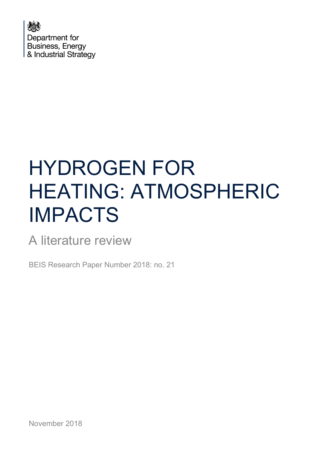

# HYDROGEN FOR HEATING: ATMOSPHERIC IMPACTS

A literature review

BEIS Research Paper Number 2018: no. 21

November 2018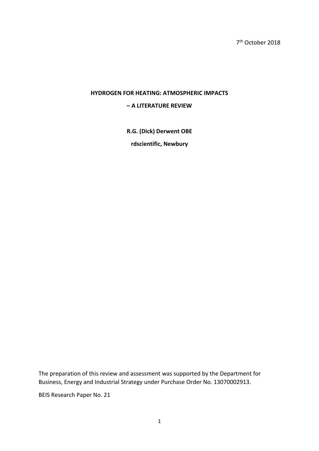### **HYDROGEN FOR HEATING: ATMOSPHERIC IMPACTS**

#### **– A LITERATURE REVIEW**

**R.G. (Dick) Derwent OBE** 

**rdscientific, Newbury** 

The preparation of this review and assessment was supported by the Department for Business, Energy and Industrial Strategy under Purchase Order No. 13070002913.

BEIS Research Paper No. 21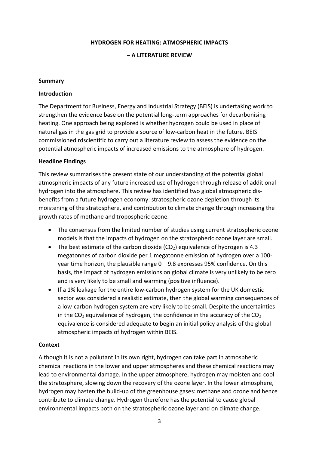#### **HYDROGEN FOR HEATING: ATMOSPHERIC IMPACTS**

#### **– A LITERATURE REVIEW**

#### **Summary**

#### **Introduction**

The Department for Business, Energy and Industrial Strategy (BEIS) is undertaking work to strengthen the evidence base on the potential long-term approaches for decarbonising heating. One approach being explored is whether hydrogen could be used in place of natural gas in the gas grid to provide a source of low-carbon heat in the future. BEIS commissioned rdscientific to carry out a literature review to assess the evidence on the potential atmospheric impacts of increased emissions to the atmosphere of hydrogen.

#### **Headline Findings**

This review summarises the present state of our understanding of the potential global atmospheric impacts of any future increased use of hydrogen through release of additional hydrogen into the atmosphere. This review has identified two global atmospheric disbenefits from a future hydrogen economy: stratospheric ozone depletion through its moistening of the stratosphere, and contribution to climate change through increasing the growth rates of methane and tropospheric ozone.

- The consensus from the limited number of studies using current stratospheric ozone models is that the impacts of hydrogen on the stratospheric ozone layer are small.
- The best estimate of the carbon dioxide  $(CO<sub>2</sub>)$  equivalence of hydrogen is 4.3 megatonnes of carbon dioxide per 1 megatonne emission of hydrogen over a 100 year time horizon, the plausible range  $0 - 9.8$  expresses 95% confidence. On this basis, the impact of hydrogen emissions on global climate is very unlikely to be zero and is very likely to be small and warming (positive influence).
- If a 1% leakage for the entire low-carbon hydrogen system for the UK domestic sector was considered a realistic estimate, then the global warming consequences of a low-carbon hydrogen system are very likely to be small. Despite the uncertainties in the  $CO<sub>2</sub>$  equivalence of hydrogen, the confidence in the accuracy of the  $CO<sub>2</sub>$ equivalence is considered adequate to begin an initial policy analysis of the global atmospheric impacts of hydrogen within BEIS.

#### **Context**

Although it is not a pollutant in its own right, hydrogen can take part in atmospheric chemical reactions in the lower and upper atmospheres and these chemical reactions may lead to environmental damage. In the upper atmosphere, hydrogen may moisten and cool the stratosphere, slowing down the recovery of the ozone layer. In the lower atmosphere, hydrogen may hasten the build-up of the greenhouse gases: methane and ozone and hence contribute to climate change. Hydrogen therefore has the potential to cause global environmental impacts both on the stratospheric ozone layer and on climate change.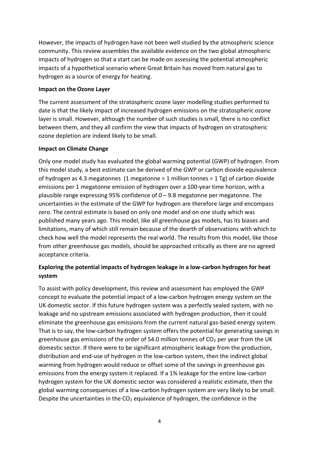However, the impacts of hydrogen have not been well studied by the atmospheric science community. This review assembles the available evidence on the two global atmospheric impacts of hydrogen so that a start can be made on assessing the potential atmospheric impacts of a hypothetical scenario where Great Britain has moved from natural gas to hydrogen as a source of energy for heating.

#### **Impact on the Ozone Layer**

The current assessment of the stratospheric ozone layer modelling studies performed to date is that the likely impact of increased hydrogen emissions on the stratospheric ozone layer is small. However, although the number of such studies is small, there is no conflict between them, and they all confirm the view that impacts of hydrogen on stratospheric ozone depletion are indeed likely to be small.

### **Impact on Climate Change**

Only one model study has evaluated the global warming potential (GWP) of hydrogen. From this model study, a best estimate can be derived of the GWP or carbon dioxide equivalence of hydrogen as 4.3 megatonnes (1 megatonne = 1 million tonnes = 1 Tg) of carbon dioxide emissions per 1 megatonne emission of hydrogen over a 100-year time horizon, with a plausible range expressing 95% confidence of  $0 - 9.8$  megatonne per megatonne. The uncertainties in the estimate of the GWP for hydrogen are therefore large and encompass zero. The central estimate is based on only one model and on one study which was published many years ago. This model, like all greenhouse gas models, has its biases and limitations, many of which still remain because of the dearth of observations with which to check how well the model represents the real world. The results from this model, like those from other greenhouse gas models, should be approached critically as there are no agreed acceptance criteria.

# **Exploring the potential impacts of hydrogen leakage in a low-carbon hydrogen for heat system**

To assist with policy development, this review and assessment has employed the GWP concept to evaluate the potential impact of a low-carbon hydrogen energy system on the UK domestic sector. If this future hydrogen system was a perfectly sealed system, with no leakage and no upstream emissions associated with hydrogen production, then it could eliminate the greenhouse gas emissions from the current natural gas-based energy system. That is to say, the low-carbon hydrogen system offers the potential for generating savings in greenhouse gas emissions of the order of 54.0 million tonnes of  $CO<sub>2</sub>$  per year from the UK domestic sector. If there were to be significant atmospheric leakage from the production, distribution and end-use of hydrogen in the low-carbon system, then the indirect global warming from hydrogen would reduce or offset some of the savings in greenhouse gas emissions from the energy system it replaced. If a 1% leakage for the entire low-carbon hydrogen system for the UK domestic sector was considered a realistic estimate, then the global warming consequences of a low-carbon hydrogen system are very likely to be small. Despite the uncertainties in the  $CO<sub>2</sub>$  equivalence of hydrogen, the confidence in the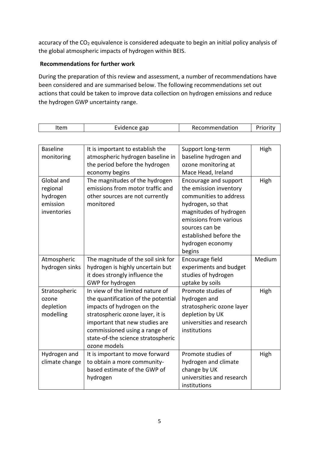accuracy of the CO<sub>2</sub> equivalence is considered adequate to begin an initial policy analysis of the global atmospheric impacts of hydrogen within BEIS.

# **Recommendations for further work**

 $\Gamma$ 

During the preparation of this review and assessment, a number of recommendations have been considered and are summarised below. The following recommendations set out actions that could be taken to improve data collection on hydrogen emissions and reduce the hydrogen GWP uncertainty range.

| Item            | Evidence gap                        | Recommendation            | Priority |
|-----------------|-------------------------------------|---------------------------|----------|
|                 |                                     |                           |          |
| <b>Baseline</b> | It is important to establish the    | Support long-term         | High     |
| monitoring      | atmospheric hydrogen baseline in    | baseline hydrogen and     |          |
|                 | the period before the hydrogen      | ozone monitoring at       |          |
|                 | economy begins                      | Mace Head, Ireland        |          |
| Global and      | The magnitudes of the hydrogen      | Encourage and support     | High     |
| regional        | emissions from motor traffic and    | the emission inventory    |          |
| hydrogen        | other sources are not currently     | communities to address    |          |
| emission        | monitored                           | hydrogen, so that         |          |
| inventories     |                                     | magnitudes of hydrogen    |          |
|                 |                                     | emissions from various    |          |
|                 |                                     | sources can be            |          |
|                 |                                     | established before the    |          |
|                 |                                     | hydrogen economy          |          |
|                 |                                     | begins                    |          |
| Atmospheric     | The magnitude of the soil sink for  | Encourage field           | Medium   |
| hydrogen sinks  | hydrogen is highly uncertain but    | experiments and budget    |          |
|                 | it does strongly influence the      | studies of hydrogen       |          |
|                 | GWP for hydrogen                    | uptake by soils           |          |
| Stratospheric   | In view of the limited nature of    | Promote studies of        | High     |
| ozone           | the quantification of the potential | hydrogen and              |          |
| depletion       | impacts of hydrogen on the          | stratospheric ozone layer |          |
| modelling       | stratospheric ozone layer, it is    | depletion by UK           |          |
|                 | important that new studies are      | universities and research |          |
|                 | commissioned using a range of       | institutions              |          |
|                 | state-of-the science stratospheric  |                           |          |
|                 | ozone models                        |                           |          |
| Hydrogen and    | It is important to move forward     | Promote studies of        | High     |
| climate change  | to obtain a more community-         | hydrogen and climate      |          |
|                 | based estimate of the GWP of        | change by UK              |          |
|                 | hydrogen                            | universities and research |          |
|                 |                                     | institutions              |          |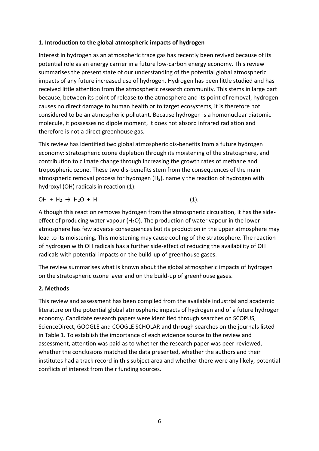# **1. Introduction to the global atmospheric impacts of hydrogen**

Interest in hydrogen as an atmospheric trace gas has recently been revived because of its potential role as an energy carrier in a future low-carbon energy economy. This review summarises the present state of our understanding of the potential global atmospheric impacts of any future increased use of hydrogen. Hydrogen has been little studied and has received little attention from the atmospheric research community. This stems in large part because, between its point of release to the atmosphere and its point of removal, hydrogen causes no direct damage to human health or to target ecosystems, it is therefore not considered to be an atmospheric pollutant. Because hydrogen is a homonuclear diatomic molecule, it possesses no dipole moment, it does not absorb infrared radiation and therefore is not a direct greenhouse gas.

This review has identified two global atmospheric dis-benefits from a future hydrogen economy: stratospheric ozone depletion through its moistening of the stratosphere, and contribution to climate change through increasing the growth rates of methane and tropospheric ozone. These two dis-benefits stem from the consequences of the main atmospheric removal process for hydrogen  $(H<sub>2</sub>)$ , namely the reaction of hydrogen with hydroxyl (OH) radicals in reaction (1):

 $OH + H_2 \rightarrow H_2O + H$  (1).

Although this reaction removes hydrogen from the atmospheric circulation, it has the sideeffect of producing water vapour ( $H<sub>2</sub>O$ ). The production of water vapour in the lower atmosphere has few adverse consequences but its production in the upper atmosphere may lead to its moistening. This moistening may cause cooling of the stratosphere. The reaction of hydrogen with OH radicals has a further side-effect of reducing the availability of OH radicals with potential impacts on the build-up of greenhouse gases.

The review summarises what is known about the global atmospheric impacts of hydrogen on the stratospheric ozone layer and on the build-up of greenhouse gases.

### **2. Methods**

This review and assessment has been compiled from the available industrial and academic literature on the potential global atmospheric impacts of hydrogen and of a future hydrogen economy. Candidate research papers were identified through searches on SCOPUS, ScienceDirect, GOOGLE and COOGLE SCHOLAR and through searches on the journals listed in Table 1. To establish the importance of each evidence source to the review and assessment, attention was paid as to whether the research paper was peer-reviewed, whether the conclusions matched the data presented, whether the authors and their institutes had a track record in this subject area and whether there were any likely, potential conflicts of interest from their funding sources.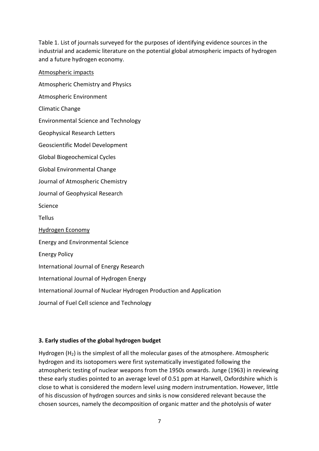Table 1. List of journals surveyed for the purposes of identifying evidence sources in the industrial and academic literature on the potential global atmospheric impacts of hydrogen and a future hydrogen economy.

Atmospheric impacts Atmospheric Chemistry and Physics Atmospheric Environment Climatic Change Environmental Science and Technology Geophysical Research Letters Geoscientific Model Development Global Biogeochemical Cycles Global Environmental Change Journal of Atmospheric Chemistry Journal of Geophysical Research Science **Tellus** Hydrogen Economy Energy and Environmental Science Energy Policy International Journal of Energy Research International Journal of Hydrogen Energy International Journal of Nuclear Hydrogen Production and Application Journal of Fuel Cell science and Technology

### **3. Early studies of the global hydrogen budget**

Hydrogen  $(H<sub>2</sub>)$  is the simplest of all the molecular gases of the atmosphere. Atmospheric hydrogen and its isotopomers were first systematically investigated following the atmospheric testing of nuclear weapons from the 1950s onwards. Junge (1963) in reviewing these early studies pointed to an average level of 0.51 ppm at Harwell, Oxfordshire which is close to what is considered the modern level using modern instrumentation. However, little of his discussion of hydrogen sources and sinks is now considered relevant because the chosen sources, namely the decomposition of organic matter and the photolysis of water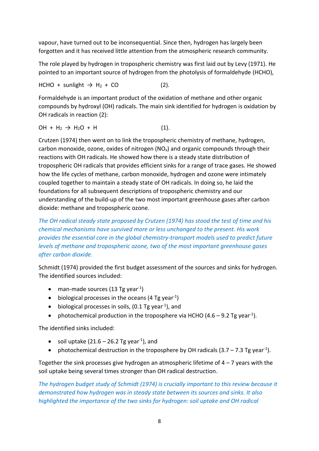vapour, have turned out to be inconsequential. Since then, hydrogen has largely been forgotten and it has received little attention from the atmospheric research community.

The role played by hydrogen in tropospheric chemistry was first laid out by Levy (1971). He pointed to an important source of hydrogen from the photolysis of formaldehyde (HCHO),

$$
HCHO + sunlight \rightarrow H_2 + CO \qquad (2).
$$

Formaldehyde is an important product of the oxidation of methane and other organic compounds by hydroxyl (OH) radicals. The main sink identified for hydrogen is oxidation by OH radicals in reaction (2):

$$
OH + H_2 \rightarrow H_2O + H
$$
 (1).

Crutzen (1974) then went on to link the tropospheric chemistry of methane, hydrogen, carbon monoxide, ozone, oxides of nitrogen  $(NO_x)$  and organic compounds through their reactions with OH radicals. He showed how there is a steady state distribution of tropospheric OH radicals that provides efficient sinks for a range of trace gases. He showed how the life cycles of methane, carbon monoxide, hydrogen and ozone were intimately coupled together to maintain a steady state of OH radicals. In doing so, he laid the foundations for all subsequent descriptions of tropospheric chemistry and our understanding of the build-up of the two most important greenhouse gases after carbon dioxide: methane and tropospheric ozone.

*The OH radical steady state proposed by Crutzen (1974) has stood the test of time and his chemical mechanisms have survived more or less unchanged to the present. His work provides the essential core in the global chemistry-transport models used to predict future levels of methane and tropospheric ozone, two of the most important greenhouse gases after carbon dioxide.* 

Schmidt (1974) provided the first budget assessment of the sources and sinks for hydrogen. The identified sources included:

- man-made sources (13 Tg year<sup>-1</sup>)
- $\bullet$  biological processes in the oceans (4 Tg year<sup>-1</sup>)
- $\bullet$  biological processes in soils, (0.1 Tg year<sup>-1</sup>), and
- photochemical production in the troposphere via HCHO (4.6 9.2 Tg year<sup>-1</sup>).

The identified sinks included:

- soil uptake (21.6 26.2 Tg year<sup>-1</sup>), and
- photochemical destruction in the troposphere by OH radicals  $(3.7 7.3$  Tg year<sup>-1</sup>).

Together the sink processes give hydrogen an atmospheric lifetime of  $4 - 7$  years with the soil uptake being several times stronger than OH radical destruction.

*The hydrogen budget study of Schmidt (1974) is crucially important to this review because it demonstrated how hydrogen was in steady state between its sources and sinks. It also highlighted the importance of the two sinks for hydrogen: soil uptake and OH radical*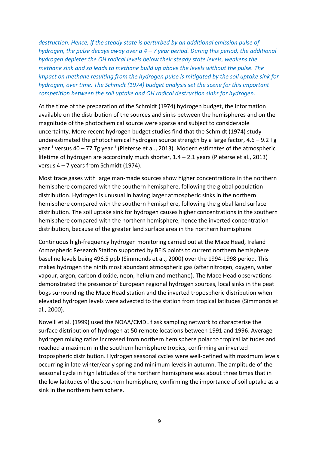*destruction. Hence, if the steady state is perturbed by an additional emission pulse of hydrogen, the pulse decays away over a 4 – 7 year period. During this period, the additional hydrogen depletes the OH radical levels below their steady state levels, weakens the methane sink and so leads to methane build up above the levels without the pulse. The impact on methane resulting from the hydrogen pulse is mitigated by the soil uptake sink for hydrogen, over time. The Schmidt (1974) budget analysis set the scene for this important competition between the soil uptake and OH radical destruction sinks for hydrogen.*

At the time of the preparation of the Schmidt (1974) hydrogen budget, the information available on the distribution of the sources and sinks between the hemispheres and on the magnitude of the photochemical source were sparse and subject to considerable uncertainty. More recent hydrogen budget studies find that the Schmidt (1974) study underestimated the photochemical hydrogen source strength by a large factor,  $4.6 - 9.2$  Tg year<sup>-1</sup> versus 40 – 77 Tg year<sup>-1</sup> (Pieterse et al., 2013). Modern estimates of the atmospheric lifetime of hydrogen are accordingly much shorter, 1.4 – 2.1 years (Pieterse et al., 2013) versus 4 – 7 years from Schmidt (1974).

Most trace gases with large man-made sources show higher concentrations in the northern hemisphere compared with the southern hemisphere, following the global population distribution. Hydrogen is unusual in having larger atmospheric sinks in the northern hemisphere compared with the southern hemisphere, following the global land surface distribution. The soil uptake sink for hydrogen causes higher concentrations in the southern hemisphere compared with the northern hemisphere, hence the inverted concentration distribution, because of the greater land surface area in the northern hemisphere

Continuous high-frequency hydrogen monitoring carried out at the Mace Head, Ireland Atmospheric Research Station supported by BEIS points to current northern hemisphere baseline levels being 496.5 ppb (Simmonds et al., 2000) over the 1994-1998 period. This makes hydrogen the ninth most abundant atmospheric gas (after nitrogen, oxygen, water vapour, argon, carbon dioxide, neon, helium and methane). The Mace Head observations demonstrated the presence of European regional hydrogen sources, local sinks in the peat bogs surrounding the Mace Head station and the inverted tropospheric distribution when elevated hydrogen levels were advected to the station from tropical latitudes (Simmonds et al., 2000).

Novelli et al. (1999) used the NOAA/CMDL flask sampling network to characterise the surface distribution of hydrogen at 50 remote locations between 1991 and 1996. Average hydrogen mixing ratios increased from northern hemisphere polar to tropical latitudes and reached a maximum in the southern hemisphere tropics, confirming an inverted tropospheric distribution. Hydrogen seasonal cycles were well-defined with maximum levels occurring in late winter/early spring and minimum levels in autumn. The amplitude of the seasonal cycle in high latitudes of the northern hemisphere was about three times that in the low latitudes of the southern hemisphere, confirming the importance of soil uptake as a sink in the northern hemisphere.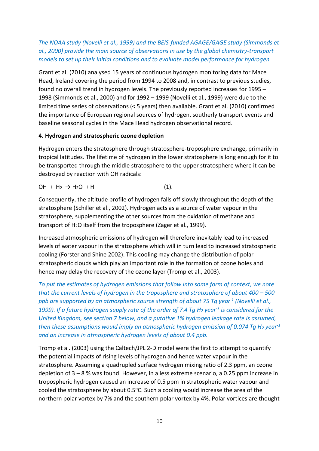*The NOAA study (Novelli et al., 1999) and the BEIS-funded AGAGE/GAGE study (Simmonds et al., 2000) provide the main source of observations in use by the global chemistry-transport models to set up their initial conditions and to evaluate model performance for hydrogen.*

Grant et al. (2010) analysed 15 years of continuous hydrogen monitoring data for Mace Head, Ireland covering the period from 1994 to 2008 and, in contrast to previous studies, found no overall trend in hydrogen levels. The previously reported increases for 1995 – 1998 (Simmonds et al., 2000) and for 1992 – 1999 (Novelli et al., 1999) were due to the limited time series of observations (< 5 years) then available. Grant et al. (2010) confirmed the importance of European regional sources of hydrogen, southerly transport events and baseline seasonal cycles in the Mace Head hydrogen observational record.

# **4. Hydrogen and stratospheric ozone depletion**

Hydrogen enters the stratosphere through stratosphere-troposphere exchange, primarily in tropical latitudes. The lifetime of hydrogen in the lower stratosphere is long enough for it to be transported through the middle stratosphere to the upper stratosphere where it can be destroyed by reaction with OH radicals:

$$
OH + H_2 \rightarrow H_2O + H
$$
 (1).

Consequently, the altitude profile of hydrogen falls off slowly throughout the depth of the stratosphere (Schiller et al., 2002). Hydrogen acts as a source of water vapour in the stratosphere, supplementing the other sources from the oxidation of methane and transport of  $H_2O$  itself from the troposphere (Zager et al., 1999).

Increased atmospheric emissions of hydrogen will therefore inevitably lead to increased levels of water vapour in the stratosphere which will in turn lead to increased stratospheric cooling (Forster and Shine 2002). This cooling may change the distribution of polar stratospheric clouds which play an important role in the formation of ozone holes and hence may delay the recovery of the ozone layer (Tromp et al., 2003).

*To put the estimates of hydrogen emissions that follow into some form of context, we note that the current levels of hydrogen in the troposphere and stratosphere of about 400 – 500 ppb are supported by an atmospheric source strength of about 75 Tg year -1 (Novelli et al., 1999). If a future hydrogen supply rate of the order of 7.4 Tg H<sup>2</sup> year -1 is considered for the United Kingdom, see section 7 below, and a putative 1% hydrogen leakage rate is assumed, then these assumptions would imply an atmospheric hydrogen emission of 0.074 Tg H<sup>2</sup> year -1 and an increase in atmospheric hydrogen levels of about 0.4 ppb.*

Tromp et al. (2003) using the Caltech/JPL 2-D model were the first to attempt to quantify the potential impacts of rising levels of hydrogen and hence water vapour in the stratosphere. Assuming a quadrupled surface hydrogen mixing ratio of 2.3 ppm, an ozone depletion of 3 – 8 % was found. However, in a less extreme scenario, a 0.25 ppm increase in tropospheric hydrogen caused an increase of 0.5 ppm in stratospheric water vapour and cooled the stratosphere by about  $0.5^{\circ}$ C. Such a cooling would increase the area of the northern polar vortex by 7% and the southern polar vortex by 4%. Polar vortices are thought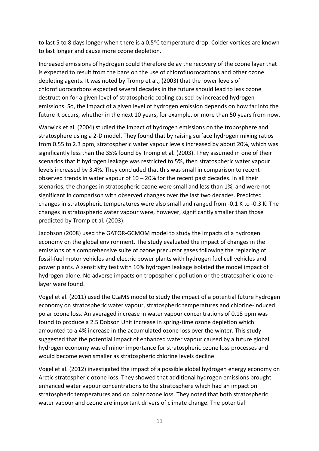to last 5 to 8 days longer when there is a  $0.5^{\circ}$ C temperature drop. Colder vortices are known to last longer and cause more ozone depletion.

Increased emissions of hydrogen could therefore delay the recovery of the ozone layer that is expected to result from the bans on the use of chlorofluorocarbons and other ozone depleting agents. It was noted by Tromp et al., (2003) that the lower levels of chlorofluorocarbons expected several decades in the future should lead to less ozone destruction for a given level of stratospheric cooling caused by increased hydrogen emissions. So, the impact of a given level of hydrogen emission depends on how far into the future it occurs, whether in the next 10 years, for example, or more than 50 years from now.

Warwick et al. (2004) studied the impact of hydrogen emissions on the troposphere and stratosphere using a 2-D model. They found that by raising surface hydrogen mixing ratios from 0.55 to 2.3 ppm, stratospheric water vapour levels increased by about 20%, which was significantly less than the 35% found by Tromp et al. (2003). They assumed in one of their scenarios that if hydrogen leakage was restricted to 5%, then stratospheric water vapour levels increased by 3.4%. They concluded that this was small in comparison to recent observed trends in water vapour of  $10 - 20%$  for the recent past decades. In all their scenarios, the changes in stratospheric ozone were small and less than 1%, and were not significant in comparison with observed changes over the last two decades. Predicted changes in stratospheric temperatures were also small and ranged from -0.1 K to -0.3 K. The changes in stratospheric water vapour were, however, significantly smaller than those predicted by Tromp et al. (2003).

Jacobson (2008) used the GATOR-GCMOM model to study the impacts of a hydrogen economy on the global environment. The study evaluated the impact of changes in the emissions of a comprehensive suite of ozone precursor gases following the replacing of fossil-fuel motor vehicles and electric power plants with hydrogen fuel cell vehicles and power plants. A sensitivity test with 10% hydrogen leakage isolated the model impact of hydrogen-alone. No adverse impacts on tropospheric pollution or the stratospheric ozone layer were found.

Vogel et al. (2011) used the CLaMS model to study the impact of a potential future hydrogen economy on stratospheric water vapour, stratospheric temperatures and chlorine-induced polar ozone loss. An averaged increase in water vapour concentrations of 0.18 ppm was found to produce a 2.5 Dobson Unit increase in spring-time ozone depletion which amounted to a 4% increase in the accumulated ozone loss over the winter. This study suggested that the potential impact of enhanced water vapour caused by a future global hydrogen economy was of minor importance for stratospheric ozone loss processes and would become even smaller as stratospheric chlorine levels decline.

Vogel et al. (2012) investigated the impact of a possible global hydrogen energy economy on Arctic stratospheric ozone loss. They showed that additional hydrogen emissions brought enhanced water vapour concentrations to the stratosphere which had an impact on stratospheric temperatures and on polar ozone loss. They noted that both stratospheric water vapour and ozone are important drivers of climate change. The potential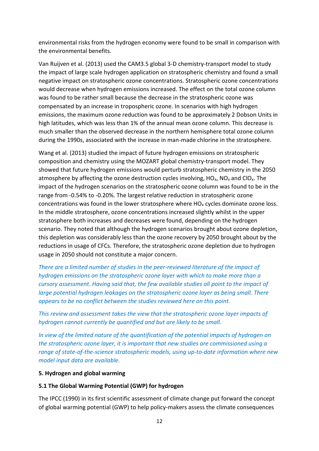environmental risks from the hydrogen economy were found to be small in comparison with the environmental benefits.

Van Ruijven et al. (2013) used the CAM3.5 global 3-D chemistry-transport model to study the impact of large scale hydrogen application on stratospheric chemistry and found a small negative impact on stratospheric ozone concentrations. Stratospheric ozone concentrations would decrease when hydrogen emissions increased. The effect on the total ozone column was found to be rather small because the decrease in the stratospheric ozone was compensated by an increase in tropospheric ozone. In scenarios with high hydrogen emissions, the maximum ozone reduction was found to be approximately 2 Dobson Units in high latitudes, which was less than 1% of the annual mean ozone column. This decrease is much smaller than the observed decrease in the northern hemisphere total ozone column during the 1990s, associated with the increase in man-made chlorine in the stratosphere.

Wang et al. (2013) studied the impact of future hydrogen emissions on stratospheric composition and chemistry using the MOZART global chemistry-transport model. They showed that future hydrogen emissions would perturb stratospheric chemistry in the 2050 atmosphere by affecting the ozone destruction cycles involving,  $HO_{x}$ ,  $NO_{x}$  and  $ClO_{x}$ . The impact of the hydrogen scenarios on the stratospheric ozone column was found to be in the range from -0.54% to -0.20%. The largest relative reduction in stratospheric ozone concentrations was found in the lower stratosphere where  $HO<sub>x</sub>$  cycles dominate ozone loss. In the middle stratosphere, ozone concentrations increased slightly whilst in the upper stratosphere both increases and decreases were found, depending on the hydrogen scenario. They noted that although the hydrogen scenarios brought about ozone depletion, this depletion was considerably less than the ozone recovery by 2050 brought about by the reductions in usage of CFCs. Therefore, the stratospheric ozone depletion due to hydrogen usage in 2050 should not constitute a major concern.

*There are a limited number of studies in the peer-reviewed literature of the impact of hydrogen emissions on the stratospheric ozone layer with which to make more than a cursory assessment. Having said that, the few available studies all point to the impact of large potential hydrogen leakages on the stratospheric ozone layer as being small. There appears to be no conflict between the studies reviewed here on this point.*

*This review and assessment takes the view that the stratospheric ozone layer impacts of hydrogen cannot currently be quantified and but are likely to be small.*

*In view of the limited nature of the quantification of the potential impacts of hydrogen on the stratospheric ozone layer, it is important that new studies are commissioned using a range of state-of-the-science stratospheric models, using up-to-date information where new model input data are available.*

#### **5. Hydrogen and global warming**

### **5.1 The Global Warming Potential (GWP) for hydrogen**

The IPCC (1990) in its first scientific assessment of climate change put forward the concept of global warming potential (GWP) to help policy-makers assess the climate consequences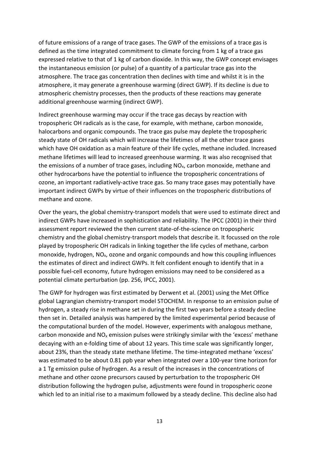of future emissions of a range of trace gases. The GWP of the emissions of a trace gas is defined as the time integrated commitment to climate forcing from 1 kg of a trace gas expressed relative to that of 1 kg of carbon dioxide. In this way, the GWP concept envisages the instantaneous emission (or pulse) of a quantity of a particular trace gas into the atmosphere. The trace gas concentration then declines with time and whilst it is in the atmosphere, it may generate a greenhouse warming (direct GWP). If its decline is due to atmospheric chemistry processes, then the products of these reactions may generate additional greenhouse warming (indirect GWP).

Indirect greenhouse warming may occur if the trace gas decays by reaction with tropospheric OH radicals as is the case, for example, with methane, carbon monoxide, halocarbons and organic compounds. The trace gas pulse may deplete the tropospheric steady state of OH radicals which will increase the lifetimes of all the other trace gases which have OH oxidation as a main feature of their life cycles, methane included. Increased methane lifetimes will lead to increased greenhouse warming. It was also recognised that the emissions of a number of trace gases, including  $NO<sub>x</sub>$ , carbon monoxide, methane and other hydrocarbons have the potential to influence the tropospheric concentrations of ozone, an important radiatively-active trace gas. So many trace gases may potentially have important indirect GWPs by virtue of their influences on the tropospheric distributions of methane and ozone.

Over the years, the global chemistry-transport models that were used to estimate direct and indirect GWPs have increased in sophistication and reliability. The IPCC (2001) in their third assessment report reviewed the then current state-of-the-science on tropospheric chemistry and the global chemistry-transport models that describe it. It focussed on the role played by tropospheric OH radicals in linking together the life cycles of methane, carbon monoxide, hydrogen, NOx, ozone and organic compounds and how this coupling influences the estimates of direct and indirect GWPs. It felt confident enough to identify that in a possible fuel-cell economy, future hydrogen emissions may need to be considered as a potential climate perturbation (pp. 256, IPCC, 2001).

The GWP for hydrogen was first estimated by Derwent et al. (2001) using the Met Office global Lagrangian chemistry-transport model STOCHEM. In response to an emission pulse of hydrogen, a steady rise in methane set in during the first two years before a steady decline then set in. Detailed analysis was hampered by the limited experimental period because of the computational burden of the model. However, experiments with analogous methane, carbon monoxide and  $NO<sub>x</sub>$  emission pulses were strikingly similar with the 'excess' methane decaying with an e-folding time of about 12 years. This time scale was significantly longer, about 23%, than the steady state methane lifetime. The time-integrated methane 'excess' was estimated to be about 0.81 ppb year when integrated over a 100-year time horizon for a 1 Tg emission pulse of hydrogen. As a result of the increases in the concentrations of methane and other ozone precursors caused by perturbation to the tropospheric OH distribution following the hydrogen pulse, adjustments were found in tropospheric ozone which led to an initial rise to a maximum followed by a steady decline. This decline also had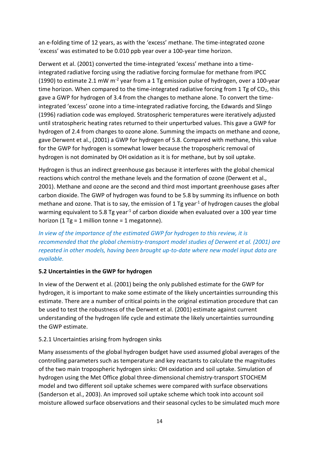an e-folding time of 12 years, as with the 'excess' methane. The time-integrated ozone 'excess' was estimated to be 0.010 ppb year over a 100-year time horizon.

Derwent et al. (2001) converted the time-integrated 'excess' methane into a timeintegrated radiative forcing using the radiative forcing formulae for methane from IPCC (1990) to estimate 2.1 mW  $m<sup>-2</sup>$  year from a 1 Tg emission pulse of hydrogen, over a 100-year time horizon. When compared to the time-integrated radiative forcing from 1 Tg of  $CO<sub>2</sub>$ , this gave a GWP for hydrogen of 3.4 from the changes to methane alone. To convert the timeintegrated 'excess' ozone into a time-integrated radiative forcing, the Edwards and Slingo (1996) radiation code was employed. Stratospheric temperatures were iteratively adjusted until stratospheric heating rates returned to their unperturbed values. This gave a GWP for hydrogen of 2.4 from changes to ozone alone. Summing the impacts on methane and ozone, gave Derwent et al., (2001) a GWP for hydrogen of 5.8. Compared with methane, this value for the GWP for hydrogen is somewhat lower because the tropospheric removal of hydrogen is not dominated by OH oxidation as it is for methane, but by soil uptake.

Hydrogen is thus an indirect greenhouse gas because it interferes with the global chemical reactions which control the methane levels and the formation of ozone (Derwent et al., 2001). Methane and ozone are the second and third most important greenhouse gases after carbon dioxide. The GWP of hydrogen was found to be 5.8 by summing its influence on both methane and ozone. That is to say, the emission of 1 Tg year<sup>-1</sup> of hydrogen causes the global warming equivalent to 5.8 Tg year<sup>-1</sup> of carbon dioxide when evaluated over a 100 year time horizon (1 Tg = 1 million tonne = 1 megatonne).

*In view of the importance of the estimated GWP for hydrogen to this review, it is recommended that the global chemistry-transport model studies of Derwent et al. (2001) are repeated in other models, having been brought up-to-date where new model input data are available.*

# **5.2 Uncertainties in the GWP for hydrogen**

In view of the Derwent et al. (2001) being the only published estimate for the GWP for hydrogen, it is important to make some estimate of the likely uncertainties surrounding this estimate. There are a number of critical points in the original estimation procedure that can be used to test the robustness of the Derwent et al. (2001) estimate against current understanding of the hydrogen life cycle and estimate the likely uncertainties surrounding the GWP estimate.

# 5.2.1 Uncertainties arising from hydrogen sinks

Many assessments of the global hydrogen budget have used assumed global averages of the controlling parameters such as temperature and key reactants to calculate the magnitudes of the two main tropospheric hydrogen sinks: OH oxidation and soil uptake. Simulation of hydrogen using the Met Office global three-dimensional chemistry-transport STOCHEM model and two different soil uptake schemes were compared with surface observations (Sanderson et al., 2003). An improved soil uptake scheme which took into account soil moisture allowed surface observations and their seasonal cycles to be simulated much more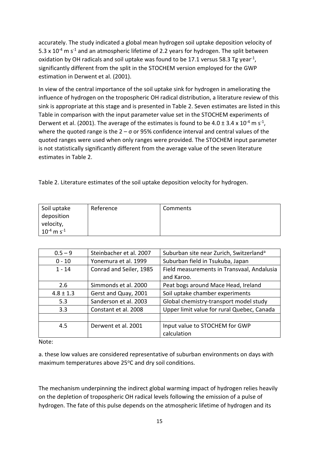accurately. The study indicated a global mean hydrogen soil uptake deposition velocity of 5.3 x  $10^{-4}$  m s<sup>-1</sup> and an atmospheric lifetime of 2.2 years for hydrogen. The split between oxidation by OH radicals and soil uptake was found to be 17.1 versus 58.3 Tg year<sup>-1</sup>, significantly different from the split in the STOCHEM version employed for the GWP estimation in Derwent et al. (2001).

In view of the central importance of the soil uptake sink for hydrogen in ameliorating the influence of hydrogen on the tropospheric OH radical distribution, a literature review of this sink is appropriate at this stage and is presented in Table 2. Seven estimates are listed in this Table in comparison with the input parameter value set in the STOCHEM experiments of Derwent et al. (2001). The average of the estimates is found to be 4.0  $\pm$  3.4 x 10<sup>-4</sup> m s<sup>-1</sup>, where the quoted range is the  $2 - \sigma$  or 95% confidence interval and central values of the quoted ranges were used when only ranges were provided. The STOCHEM input parameter is not statistically significantly different from the average value of the seven literature estimates in Table 2.

Table 2. Literature estimates of the soil uptake deposition velocity for hydrogen.

| Soil uptake                 | Reference | Comments |
|-----------------------------|-----------|----------|
| deposition                  |           |          |
| velocity,                   |           |          |
| $10^{-4}$ m s <sup>-1</sup> |           |          |

| $0.5 - 9$     | Steinbacher et al. 2007 | Suburban site near Zurich, Switzerland <sup>a</sup> |
|---------------|-------------------------|-----------------------------------------------------|
| $0 - 10$      | Yonemura et al. 1999    | Suburban field in Tsukuba, Japan                    |
| $1 - 14$      | Conrad and Seiler, 1985 | Field measurements in Transvaal, Andalusia          |
|               |                         | and Karoo.                                          |
| 2.6           | Simmonds et al. 2000    | Peat bogs around Mace Head, Ireland                 |
| $4.8 \pm 1.3$ | Gerst and Quay, 2001    | Soil uptake chamber experiments                     |
| 5.3           | Sanderson et al. 2003   | Global chemistry-transport model study              |
| 3.3           | Constant et al. 2008    | Upper limit value for rural Quebec, Canada          |
|               |                         |                                                     |
| 4.5           | Derwent et al. 2001     | Input value to STOCHEM for GWP                      |
|               |                         | calculation                                         |

Note:

a. these low values are considered representative of suburban environments on days with maximum temperatures above 25°C and dry soil conditions.

The mechanism underpinning the indirect global warming impact of hydrogen relies heavily on the depletion of tropospheric OH radical levels following the emission of a pulse of hydrogen. The fate of this pulse depends on the atmospheric lifetime of hydrogen and its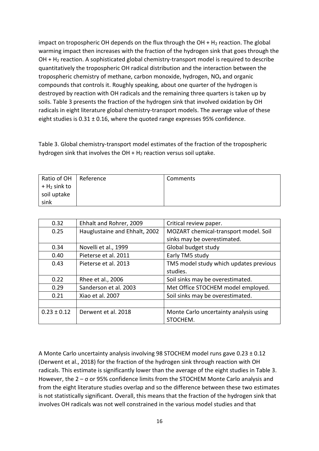impact on tropospheric OH depends on the flux through the OH  $+$  H<sub>2</sub> reaction. The global warming impact then increases with the fraction of the hydrogen sink that goes through the OH + H<sup>2</sup> reaction. A sophisticated global chemistry-transport model is required to describe quantitatively the tropospheric OH radical distribution and the interaction between the tropospheric chemistry of methane, carbon monoxide, hydrogen,  $NO<sub>x</sub>$  and organic compounds that controls it. Roughly speaking, about one quarter of the hydrogen is destroyed by reaction with OH radicals and the remaining three quarters is taken up by soils. Table 3 presents the fraction of the hydrogen sink that involved oxidation by OH radicals in eight literature global chemistry-transport models. The average value of these eight studies is 0.31 ± 0.16, where the quoted range expresses 95% confidence.

Table 3. Global chemistry-transport model estimates of the fraction of the tropospheric hydrogen sink that involves the  $OH + H<sub>2</sub>$  reaction versus soil uptake.

| Ratio of OH                | Reference | Comments |
|----------------------------|-----------|----------|
| $+$ H <sub>2</sub> sink to |           |          |
| soil uptake                |           |          |
| sink                       |           |          |

| 0.32            | Ehhalt and Rohrer, 2009       | Critical review paper.                 |
|-----------------|-------------------------------|----------------------------------------|
| 0.25            | Hauglustaine and Ehhalt, 2002 | MOZART chemical-transport model. Soil  |
|                 |                               | sinks may be overestimated.            |
| 0.34            | Novelli et al., 1999          | Global budget study                    |
| 0.40            | Pieterse et al. 2011          | Early TM5 study                        |
| 0.43            | Pieterse et al. 2013          | TM5 model study which updates previous |
|                 |                               | studies.                               |
| 0.22            | Rhee et al., 2006             | Soil sinks may be overestimated.       |
| 0.29            | Sanderson et al. 2003         | Met Office STOCHEM model employed.     |
| 0.21            | Xiao et al. 2007              | Soil sinks may be overestimated.       |
|                 |                               |                                        |
| $0.23 \pm 0.12$ | Derwent et al. 2018           | Monte Carlo uncertainty analysis using |
|                 |                               | STOCHEM.                               |

A Monte Carlo uncertainty analysis involving 98 STOCHEM model runs gave 0.23 ± 0.12 (Derwent et al., 2018) for the fraction of the hydrogen sink through reaction with OH radicals. This estimate is significantly lower than the average of the eight studies in Table 3. However, the 2 – σ or 95% confidence limits from the STOCHEM Monte Carlo analysis and from the eight literature studies overlap and so the difference between these two estimates is not statistically significant. Overall, this means that the fraction of the hydrogen sink that involves OH radicals was not well constrained in the various model studies and that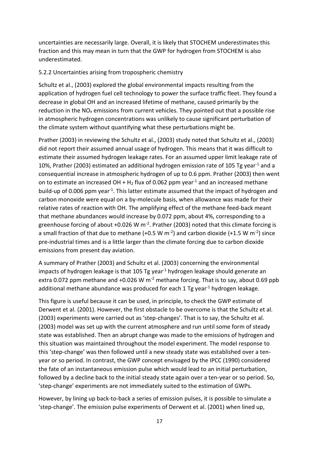uncertainties are necessarily large. Overall, it is likely that STOCHEM underestimates this fraction and this may mean in turn that the GWP for hydrogen from STOCHEM is also underestimated.

## 5.2.2 Uncertainties arising from tropospheric chemistry

Schultz et al., (2003) explored the global environmental impacts resulting from the application of hydrogen fuel cell technology to power the surface traffic fleet. They found a decrease in global OH and an increased lifetime of methane, caused primarily by the reduction in the  $NO<sub>x</sub>$  emissions from current vehicles. They pointed out that a possible rise in atmospheric hydrogen concentrations was unlikely to cause significant perturbation of the climate system without quantifying what these perturbations might be.

Prather (2003) in reviewing the Schultz et al., (2003) study noted that Schultz et al., (2003) did not report their assumed annual usage of hydrogen. This means that it was difficult to estimate their assumed hydrogen leakage rates. For an assumed upper limit leakage rate of 10%, Prather (2003) estimated an additional hydrogen emission rate of 105 Tg year<sup>-1</sup> and a consequential increase in atmospheric hydrogen of up to 0.6 ppm. Prather (2003) then went on to estimate an increased OH +  $H_2$  flux of 0.062 ppm year<sup>-1</sup> and an increased methane build-up of 0.006 ppm year<sup>-1</sup>. This latter estimate assumed that the impact of hydrogen and carbon monoxide were equal on a by-molecule basis, when allowance was made for their relative rates of reaction with OH. The amplifying effect of the methane feed-back meant that methane abundances would increase by 0.072 ppm, about 4%, corresponding to a greenhouse forcing of about +0.026 W  $m<sup>-2</sup>$ . Prather (2003) noted that this climate forcing is a small fraction of that due to methane (+0.5 W m<sup>-2</sup>) and carbon dioxide (+1.5 W m<sup>-2</sup>) since pre-industrial times and is a little larger than the climate forcing due to carbon dioxide emissions from present day aviation.

A summary of Prather (2003) and Schultz et al. (2003) concerning the environmental impacts of hydrogen leakage is that 105 Tg year<sup>-1</sup> hydrogen leakage should generate an extra 0.072 ppm methane and  $+0.026$  W m<sup>-2</sup> methane forcing. That is to say, about 0.69 ppb additional methane abundance was produced for each 1 Tg year<sup>-1</sup> hydrogen leakage.

This figure is useful because it can be used, in principle, to check the GWP estimate of Derwent et al. (2001). However, the first obstacle to be overcome is that the Schultz et al. (2003) experiments were carried out as 'step-changes'. That is to say, the Schultz et al. (2003) model was set up with the current atmosphere and run until some form of steady state was established. Then an abrupt change was made to the emissions of hydrogen and this situation was maintained throughout the model experiment. The model response to this 'step-change' was then followed until a new steady state was established over a tenyear or so period. In contrast, the GWP concept envisaged by the IPCC (1990) considered the fate of an instantaneous emission pulse which would lead to an initial perturbation, followed by a decline back to the initial steady state again over a ten-year or so period. So, 'step-change' experiments are not immediately suited to the estimation of GWPs.

However, by lining up back-to-back a series of emission pulses, it is possible to simulate a 'step-change'. The emission pulse experiments of Derwent et al. (2001) when lined up,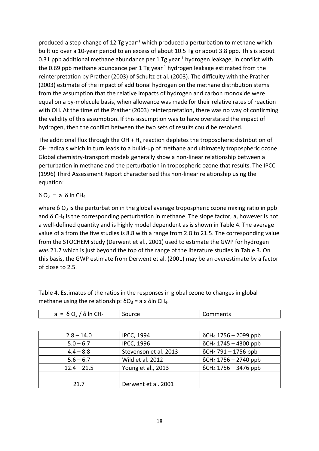produced a step-change of 12 Tg year<sup>-1</sup> which produced a perturbation to methane which built up over a 10-year period to an excess of about 10.5 Tg or about 3.8 ppb. This is about 0.31 ppb additional methane abundance per 1 Tg year<sup>-1</sup> hydrogen leakage, in conflict with the 0.69 ppb methane abundance per 1 Tg year<sup>-1</sup> hydrogen leakage estimated from the reinterpretation by Prather (2003) of Schultz et al. (2003). The difficulty with the Prather (2003) estimate of the impact of additional hydrogen on the methane distribution stems from the assumption that the relative impacts of hydrogen and carbon monoxide were equal on a by-molecule basis, when allowance was made for their relative rates of reaction with OH. At the time of the Prather (2003) reinterpretation, there was no way of confirming the validity of this assumption. If this assumption was to have overstated the impact of hydrogen, then the conflict between the two sets of results could be resolved.

The additional flux through the  $OH + H<sub>2</sub>$  reaction depletes the tropospheric distribution of OH radicals which in turn leads to a build-up of methane and ultimately tropospheric ozone. Global chemistry-transport models generally show a non-linear relationship between a perturbation in methane and the perturbation in tropospheric ozone that results. The IPCC (1996) Third Assessment Report characterised this non-linear relationship using the equation:

# δ O<sup>3</sup> = a δ ln CH<sup>4</sup>

where  $\delta$  O<sub>3</sub> is the perturbation in the global average tropospheric ozone mixing ratio in ppb and  $\delta$  CH<sub>4</sub> is the corresponding perturbation in methane. The slope factor, a, however is not a well-defined quantity and is highly model dependent as is shown in Table 4. The average value of a from the five studies is 8.8 with a range from 2.8 to 21.5. The corresponding value from the STOCHEM study (Derwent et al., 2001) used to estimate the GWP for hydrogen was 21.7 which is just beyond the top of the range of the literature studies in Table 3. On this basis, the GWP estimate from Derwent et al. (2001) may be an overestimate by a factor of close to 2.5.

| $a = \delta O_3 / \delta \ln CH_4$ | Source                | Comments                                 |
|------------------------------------|-----------------------|------------------------------------------|
|                                    |                       |                                          |
| $2.8 - 14.0$                       | <b>IPCC, 1994</b>     | $\delta$ CH <sub>4</sub> 1756 – 2099 ppb |
| $5.0 - 6.7$                        | <b>IPCC, 1996</b>     | $\delta$ CH <sub>4</sub> 1745 - 4300 ppb |
| $4.4 - 8.8$                        | Stevenson et al. 2013 | $\delta$ CH <sub>4</sub> 791 – 1756 ppb  |
| $5.6 - 6.7$                        | Wild et al. 2012      | $\delta$ CH <sub>4</sub> 1756 - 2740 ppb |
| $12.4 - 21.5$                      | Young et al., 2013    | $\delta$ CH <sub>4</sub> 1756 – 3476 ppb |
|                                    |                       |                                          |
| 21.7                               | Derwent et al. 2001   |                                          |

Table 4. Estimates of the ratios in the responses in global ozone to changes in global methane using the relationship:  $δO_3 = a x δln CH_4$ .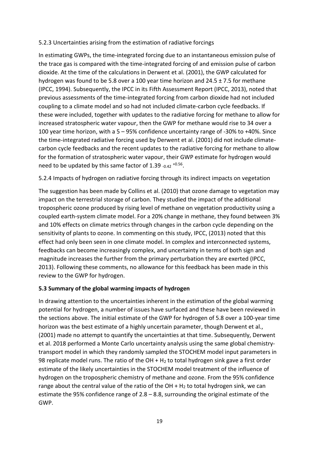## 5.2.3 Uncertainties arising from the estimation of radiative forcings

In estimating GWPs, the time-integrated forcing due to an instantaneous emission pulse of the trace gas is compared with the time-integrated forcing of and emission pulse of carbon dioxide. At the time of the calculations in Derwent et al. (2001), the GWP calculated for hydrogen was found to be 5.8 over a 100 year time horizon and 24.5 ± 7.5 for methane (IPCC, 1994). Subsequently, the IPCC in its Fifth Assessment Report (IPCC, 2013), noted that previous assessments of the time-integrated forcing from carbon dioxide had not included coupling to a climate model and so had not included climate-carbon cycle feedbacks. If these were included, together with updates to the radiative forcing for methane to allow for increased stratospheric water vapour, then the GWP for methane would rise to 34 over a 100 year time horizon, with a 5 – 95% confidence uncertainty range of -30% to +40%. Since the time-integrated radiative forcing used by Derwent et al. (2001) did not include climatecarbon cycle feedbacks and the recent updates to the radiative forcing for methane to allow for the formation of stratospheric water vapour, their GWP estimate for hydrogen would need to be updated by this same factor of 1.39  $_{-0.42}$  +0.56.

# 5.2.4 Impacts of hydrogen on radiative forcing through its indirect impacts on vegetation

The suggestion has been made by Collins et al. (2010) that ozone damage to vegetation may impact on the terrestrial storage of carbon. They studied the impact of the additional tropospheric ozone produced by rising level of methane on vegetation productivity using a coupled earth-system climate model. For a 20% change in methane, they found between 3% and 10% effects on climate metrics through changes in the carbon cycle depending on the sensitivity of plants to ozone. In commenting on this study, IPCC, (2013) noted that this effect had only been seen in one climate model. In complex and interconnected systems, feedbacks can become increasingly complex, and uncertainty in terms of both sign and magnitude increases the further from the primary perturbation they are exerted (IPCC, 2013). Following these comments, no allowance for this feedback has been made in this review to the GWP for hydrogen.

### **5.3 Summary of the global warming impacts of hydrogen**

In drawing attention to the uncertainties inherent in the estimation of the global warming potential for hydrogen, a number of issues have surfaced and these have been reviewed in the sections above. The initial estimate of the GWP for hydrogen of 5.8 over a 100-year time horizon was the best estimate of a highly uncertain parameter, though Derwent et al., (2001) made no attempt to quantify the uncertainties at that time. Subsequently, Derwent et al. 2018 performed a Monte Carlo uncertainty analysis using the same global chemistrytransport model in which they randomly sampled the STOCHEM model input parameters in 98 replicate model runs. The ratio of the OH  $+$  H<sub>2</sub> to total hydrogen sink gave a first order estimate of the likely uncertainties in the STOCHEM model treatment of the influence of hydrogen on the tropospheric chemistry of methane and ozone. From the 95% confidence range about the central value of the ratio of the  $OH + H<sub>2</sub>$  to total hydrogen sink, we can estimate the 95% confidence range of  $2.8 - 8.8$ , surrounding the original estimate of the GWP.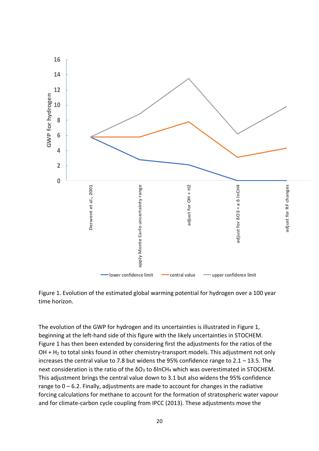



The evolution of the GWP for hydrogen and its uncertainties is illustrated in Figure 1, beginning at the left-hand side of this figure with the likely uncertainties in STOCHEM. Figure 1 has then been extended by considering first the adjustments for the ratios of the OH + H<sup>2</sup> to total sinks found in other chemistry-transport models. This adjustment not only increases the central value to 7.8 but widens the 95% confidence range to 2.1 – 13.5. The next consideration is the ratio of the  $δO₃$  to  $δInCH₄$  which was overestimated in STOCHEM. This adjustment brings the central value down to 3.1 but also widens the 95% confidence range to  $0 - 6.2$ . Finally, adjustments are made to account for changes in the radiative forcing calculations for methane to account for the formation of stratospheric water vapour and for climate-carbon cycle coupling from IPCC (2013). These adjustments move the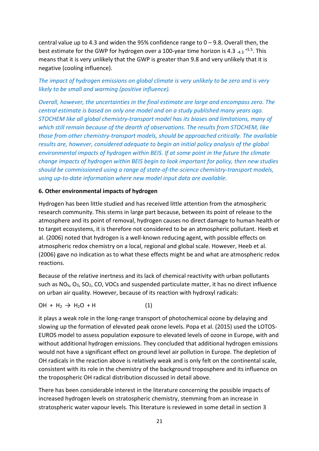central value up to 4.3 and widen the 95% confidence range to  $0 - 9.8$ . Overall then, the best estimate for the GWP for hydrogen over a 100-year time horizon is 4.3 -4.3 <sup>+5.5</sup>. This means that it is very unlikely that the GWP is greater than 9.8 and very unlikely that it is negative (cooling influence).

*The impact of hydrogen emissions on global climate is very unlikely to be zero and is very likely to be small and warming (positive influence).*

*Overall, however, the uncertainties in the final estimate are large and encompass zero. The central estimate is based on only one model and on a study published many years ago. STOCHEM like all global chemistry-transport model has its biases and limitations, many of which still remain because of the dearth of observations. The results from STOCHEM, like those from other chemistry-transport models, should be approached critically. The available results are, however, considered adequate to begin an initial policy analysis of the global environmental impacts of hydrogen within BEIS. If at some point in the future the climate change impacts of hydrogen within BEIS begin to look important for policy, then new studies should be commissioned using a range of state-of-the-science chemistry-transport models, using up-to-date information where new model input data are available.*

#### **6. Other environmental impacts of hydrogen**

Hydrogen has been little studied and has received little attention from the atmospheric research community. This stems in large part because, between its point of release to the atmosphere and its point of removal, hydrogen causes no direct damage to human health or to target ecosystems, it is therefore not considered to be an atmospheric pollutant. Heeb et al. (2006) noted that hydrogen is a well-known reducing agent, with possible effects on atmospheric redox chemistry on a local, regional and global scale. However, Heeb et al. (2006) gave no indication as to what these effects might be and what are atmospheric redox reactions.

Because of the relative inertness and its lack of chemical reactivity with urban pollutants such as  $NO<sub>x</sub>$ ,  $O<sub>3</sub>$ ,  $SO<sub>2</sub>$ , CO, VOCs and suspended particulate matter, it has no direct influence on urban air quality. However, because of its reaction with hydroxyl radicals:

$$
OH + H_2 \rightarrow H_2O + H
$$
 (1)

it plays a weak role in the long-range transport of photochemical ozone by delaying and slowing up the formation of elevated peak ozone levels. Popa et al. (2015) used the LOTOS-EUROS model to assess population exposure to elevated levels of ozone in Europe, with and without additional hydrogen emissions. They concluded that additional hydrogen emissions would not have a significant effect on ground level air pollution in Europe. The depletion of OH radicals in the reaction above is relatively weak and is only felt on the continental scale, consistent with its role in the chemistry of the background troposphere and its influence on the tropospheric OH radical distribution discussed in detail above.

There has been considerable interest in the literature concerning the possible impacts of increased hydrogen levels on stratospheric chemistry, stemming from an increase in stratospheric water vapour levels. This literature is reviewed in some detail in section 3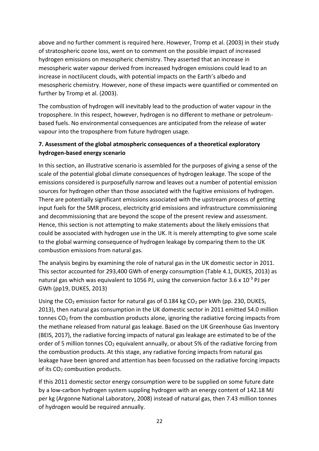above and no further comment is required here. However, Tromp et al. (2003) in their study of stratospheric ozone loss, went on to comment on the possible impact of increased hydrogen emissions on mesospheric chemistry. They asserted that an increase in mesospheric water vapour derived from increased hydrogen emissions could lead to an increase in noctilucent clouds, with potential impacts on the Earth's albedo and mesospheric chemistry. However, none of these impacts were quantified or commented on further by Tromp et al. (2003).

The combustion of hydrogen will inevitably lead to the production of water vapour in the troposphere. In this respect, however, hydrogen is no different to methane or petroleumbased fuels. No environmental consequences are anticipated from the release of water vapour into the troposphere from future hydrogen usage.

# **7. Assessment of the global atmospheric consequences of a theoretical exploratory hydrogen-based energy scenario**

In this section, an illustrative scenario is assembled for the purposes of giving a sense of the scale of the potential global climate consequences of hydrogen leakage. The scope of the emissions considered is purposefully narrow and leaves out a number of potential emission sources for hydrogen other than those associated with the fugitive emissions of hydrogen. There are potentially significant emissions associated with the upstream process of getting input fuels for the SMR process, electricity grid emissions and infrastructure commissioning and decommissioning that are beyond the scope of the present review and assessment. Hence, this section is not attempting to make statements about the likely emissions that could be associated with hydrogen use in the UK. It is merely attempting to give some scale to the global warming consequence of hydrogen leakage by comparing them to the UK combustion emissions from natural gas.

The analysis begins by examining the role of natural gas in the UK domestic sector in 2011. This sector accounted for 293,400 GWh of energy consumption (Table 4.1, DUKES, 2013) as natural gas which was equivalent to 1056 PJ, using the conversion factor 3.6 x 10<sup>-3</sup> PJ per GWh (pp19, DUKES, 2013)

Using the  $CO<sub>2</sub>$  emission factor for natural gas of 0.184 kg  $CO<sub>2</sub>$  per kWh (pp. 230, DUKES, 2013), then natural gas consumption in the UK domestic sector in 2011 emitted 54.0 million tonnes  $CO<sub>2</sub>$  from the combustion products alone, ignoring the radiative forcing impacts from the methane released from natural gas leakage. Based on the UK Greenhouse Gas Inventory (BEIS, 2017), the radiative forcing impacts of natural gas leakage are estimated to be of the order of 5 million tonnes  $CO<sub>2</sub>$  equivalent annually, or about 5% of the radiative forcing from the combustion products. At this stage, any radiative forcing impacts from natural gas leakage have been ignored and attention has been focussed on the radiative forcing impacts of its CO<sub>2</sub> combustion products.

If this 2011 domestic sector energy consumption were to be supplied on some future date by a low-carbon hydrogen system suppling hydrogen with an energy content of 142.18 MJ per kg (Argonne National Laboratory, 2008) instead of natural gas, then 7.43 million tonnes of hydrogen would be required annually.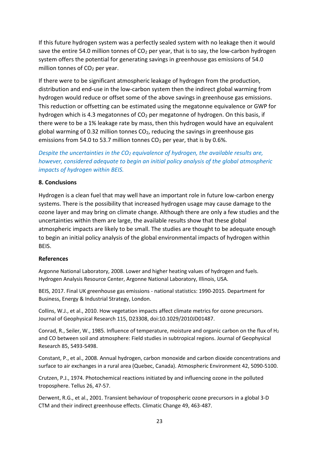If this future hydrogen system was a perfectly sealed system with no leakage then it would save the entire 54.0 million tonnes of  $CO<sub>2</sub>$  per year, that is to say, the low-carbon hydrogen system offers the potential for generating savings in greenhouse gas emissions of 54.0 million tonnes of  $CO<sub>2</sub>$  per year.

If there were to be significant atmospheric leakage of hydrogen from the production, distribution and end-use in the low-carbon system then the indirect global warming from hydrogen would reduce or offset some of the above savings in greenhouse gas emissions. This reduction or offsetting can be estimated using the megatonne equivalence or GWP for hydrogen which is 4.3 megatonnes of  $CO<sub>2</sub>$  per megatonne of hydrogen. On this basis, if there were to be a 1% leakage rate by mass, then this hydrogen would have an equivalent global warming of 0.32 million tonnes  $CO<sub>2</sub>$ , reducing the savings in greenhouse gas emissions from 54.0 to 53.7 million tonnes  $CO<sub>2</sub>$  per year, that is by 0.6%.

*Despite the uncertainties in the CO<sup>2</sup> equivalence of hydrogen, the available results are, however, considered adequate to begin an initial policy analysis of the global atmospheric impacts of hydrogen within BEIS.*

### **8. Conclusions**

Hydrogen is a clean fuel that may well have an important role in future low-carbon energy systems. There is the possibility that increased hydrogen usage may cause damage to the ozone layer and may bring on climate change. Although there are only a few studies and the uncertainties within them are large, the available results show that these global atmospheric impacts are likely to be small. The studies are thought to be adequate enough to begin an initial policy analysis of the global environmental impacts of hydrogen within BEIS.

#### **References**

Argonne National Laboratory, 2008. Lower and higher heating values of hydrogen and fuels. Hydrogen Analysis Resource Center, Argonne National Laboratory, Illinois, USA.

BEIS, 2017. Final UK greenhouse gas emissions - national statistics: 1990-2015. Department for Business, Energy & Industrial Strategy, London.

Collins, W.J., et al., 2010. How vegetation impacts affect climate metrics for ozone precursors. Journal of Geophysical Research 115, D23308, doi:10.1029/2010JD01487.

Conrad, R., Seiler, W., 1985. Influence of temperature, moisture and organic carbon on the flux of H<sub>2</sub> and CO between soil and atmosphere: Field studies in subtropical regions. Journal of Geophysical Research 85, 5493-5498.

Constant, P., et al., 2008. Annual hydrogen, carbon monoxide and carbon dioxide concentrations and surface to air exchanges in a rural area (Quebec, Canada). Atmospheric Environment 42, 5090-5100.

Crutzen, P.J., 1974. Photochemical reactions initiated by and influencing ozone in the polluted troposphere. Tellus 26, 47-57.

Derwent, R.G., et al., 2001. Transient behaviour of tropospheric ozone precursors in a global 3-D CTM and their indirect greenhouse effects. Climatic Change 49, 463-487.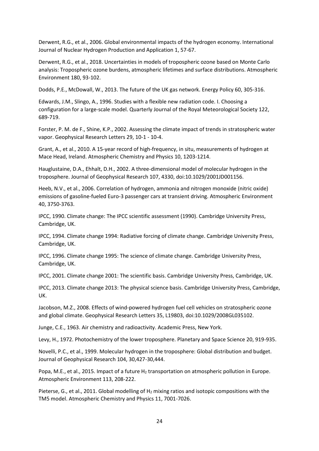Derwent, R.G., et al., 2006. Global environmental impacts of the hydrogen economy. International Journal of Nuclear Hydrogen Production and Application 1, 57-67.

Derwent, R.G., et al., 2018. Uncertainties in models of tropospheric ozone based on Monte Carlo analysis: Tropospheric ozone burdens, atmospheric lifetimes and surface distributions. Atmospheric Environment 180, 93-102.

Dodds, P.E., McDowall, W., 2013. The future of the UK gas network. Energy Policy 60, 305-316.

Edwards, J.M., Slingo, A., 1996. Studies with a flexible new radiation code. I. Choosing a configuration for a large-scale model. Quarterly Journal of the Royal Meteorological Society 122, 689-719.

Forster, P. M. de F., Shine, K.P., 2002. Assessing the climate impact of trends in stratospheric water vapor. Geophysical Research Letters 29, 10-1 - 10-4.

Grant, A., et al., 2010. A 15-year record of high-frequency, in situ, measurements of hydrogen at Mace Head, Ireland. Atmospheric Chemistry and Physics 10, 1203-1214.

Hauglustaine, D.A., Ehhalt, D.H., 2002. A three-dimensional model of molecular hydrogen in the troposphere. Journal of Geophysical Research 107, 4330, doi:10.1029/2001JD001156.

Heeb, N.V., et al., 2006. Correlation of hydrogen, ammonia and nitrogen monoxide (nitric oxide) emissions of gasoline-fueled Euro-3 passenger cars at transient driving. Atmospheric Environment 40, 3750-3763.

IPCC, 1990. Climate change: The IPCC scientific assessment (1990). Cambridge University Press, Cambridge, UK.

IPCC, 1994. Climate change 1994: Radiative forcing of climate change. Cambridge University Press, Cambridge, UK.

IPCC, 1996. Climate change 1995: The science of climate change. Cambridge University Press, Cambridge, UK.

IPCC, 2001. Climate change 2001: The scientific basis. Cambridge University Press, Cambridge, UK.

IPCC, 2013. Climate change 2013: The physical science basis. Cambridge University Press, Cambridge, UK.

Jacobson, M.Z., 2008. Effects of wind-powered hydrogen fuel cell vehicles on stratospheric ozone and global climate. Geophysical Research Letters 35, L19803, doi:10.1029/2008GL035102.

Junge, C.E., 1963. Air chemistry and radioactivity. Academic Press, New York.

Levy, H., 1972. Photochemistry of the lower troposphere. Planetary and Space Science 20, 919-935.

Novelli, P.C., et al., 1999. Molecular hydrogen in the troposphere: Global distribution and budget. Journal of Geophysical Research 104, 30,427-30,444.

Popa, M.E., et al., 2015. Impact of a future H<sub>2</sub> transportation on atmospheric pollution in Europe. Atmospheric Environment 113, 208-222.

Pieterse, G., et al., 2011. Global modelling of  $H_2$  mixing ratios and isotopic compositions with the TM5 model. Atmospheric Chemistry and Physics 11, 7001-7026.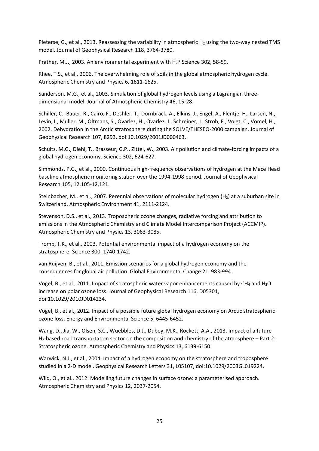Pieterse, G., et al., 2013. Reassessing the variability in atmospheric H<sub>2</sub> using the two-way nested TM5 model. Journal of Geophysical Research 118, 3764-3780.

Prather, M.J., 2003. An environmental experiment with H2? Science 302, 58-59.

Rhee, T.S., et al., 2006. The overwhelming role of soils in the global atmospheric hydrogen cycle. Atmospheric Chemistry and Physics 6, 1611-1625.

Sanderson, M.G., et al., 2003. Simulation of global hydrogen levels using a Lagrangian threedimensional model. Journal of Atmospheric Chemistry 46, 15-28.

Schiller, C., Bauer, R., Cairo, F., Deshler, T., Dornbrack, A., Elkins, J., Engel, A., Flentje, H., Larsen, N., Levin, I., Muller, M., Oltmans, S., Ovarlez, H., Ovarlez, J., Schreiner, J., Stroh, F., Voigt, C., Vomel, H., 2002. Dehydration in the Arctic stratosphere during the SOLVE/THESEO-2000 campaign. Journal of Geophysical Research 107, 8293, doi:10.1029/2001JD000463.

Schultz, M.G., Diehl, T., Brasseur, G.P., Zittel, W., 2003. Air pollution and climate-forcing impacts of a global hydrogen economy. Science 302, 624-627.

Simmonds, P.G., et al., 2000. Continuous high-frequency observations of hydrogen at the Mace Head baseline atmospheric monitoring station over the 1994-1998 period. Journal of Geophysical Research 105, 12,105-12,121.

Steinbacher, M., et al., 2007. Perennial observations of molecular hydrogen (H<sub>2</sub>) at a suburban site in Switzerland. Atmospheric Environment 41, 2111-2124.

Stevenson, D.S., et al., 2013. Tropospheric ozone changes, radiative forcing and attribution to emissions in the Atmospheric Chemistry and Climate Model Intercomparison Project (ACCMIP). Atmospheric Chemistry and Physics 13, 3063-3085.

Tromp, T.K., et al., 2003. Potential environmental impact of a hydrogen economy on the stratosphere. Science 300, 1740-1742.

van Ruijven, B., et al., 2011. Emission scenarios for a global hydrogen economy and the consequences for global air pollution. Global Environmental Change 21, 983-994.

Vogel, B., et al., 2011. Impact of stratospheric water vapor enhancements caused by CH<sub>4</sub> and H<sub>2</sub>O increase on polar ozone loss. Journal of Geophysical Research 116, D05301, doi:10.1029/2010JD014234.

Vogel, B., et al., 2012. Impact of a possible future global hydrogen economy on Arctic stratospheric ozone loss. Energy and Environmental Science 5, 6445-6452.

Wang, D., Jia, W., Olsen, S.C., Wuebbles, D.J., Dubey, M.K., Rockett, A.A., 2013. Impact of a future H2-based road transportation sector on the composition and chemistry of the atmosphere – Part 2: Stratospheric ozone. Atmospheric Chemistry and Physics 13, 6139-6150.

Warwick, N.J., et al., 2004. Impact of a hydrogen economy on the stratosphere and troposphere studied in a 2-D model. Geophysical Research Letters 31, L05107, doi:10.1029/2003GL019224.

Wild, O., et al., 2012. Modelling future changes in surface ozone: a parameterised approach. Atmospheric Chemistry and Physics 12, 2037-2054.